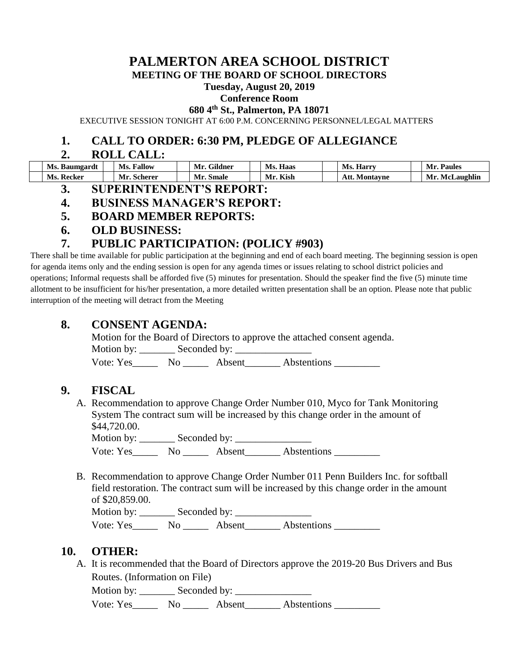# **PALMERTON AREA SCHOOL DISTRICT**

**MEETING OF THE BOARD OF SCHOOL DIRECTORS**

#### **Tuesday, August 20, 2019**

#### **Conference Room**

**680 4th St., Palmerton, PA 18071**

EXECUTIVE SESSION TONIGHT AT 6:00 P.M. CONCERNING PERSONNEL/LEGAL MATTERS

#### **1. CALL TO ORDER: 6:30 PM, PLEDGE OF ALLEGIANCE**

#### **2. ROLL CALL:**

| Ms. Baumgardt     | <b>Ms. Fallow</b>  | Mr. Gildner | Ms. Haas | <b>Ms. Harry</b>     | Mr. Paules     |
|-------------------|--------------------|-------------|----------|----------------------|----------------|
| <b>Ms. Recker</b> | <b>Mr. Scherer</b> | Mr. Smale   | Mr. Kish | <b>Att. Montavne</b> | Mr. McLaughlin |

- **3. SUPERINTENDENT'S REPORT:**
- **4. BUSINESS MANAGER'S REPORT:**
- **5. BOARD MEMBER REPORTS:**
- **6. OLD BUSINESS:**

### **7. PUBLIC PARTICIPATION: (POLICY #903)**

There shall be time available for public participation at the beginning and end of each board meeting. The beginning session is open for agenda items only and the ending session is open for any agenda times or issues relating to school district policies and operations; Informal requests shall be afforded five (5) minutes for presentation. Should the speaker find the five (5) minute time allotment to be insufficient for his/her presentation, a more detailed written presentation shall be an option. Please note that public interruption of the meeting will detract from the Meeting

#### **8. CONSENT AGENDA:**

Motion for the Board of Directors to approve the attached consent agenda. Motion by: Seconded by:

Vote: Yes\_\_\_\_\_\_\_\_ No \_\_\_\_\_\_\_\_ Absent\_\_\_\_\_\_\_\_\_ Abstentions \_\_\_\_\_\_\_\_

# **9. FISCAL**

A. Recommendation to approve Change Order Number 010, Myco for Tank Monitoring System The contract sum will be increased by this change order in the amount of \$44,720.00.

Motion by: Seconded by: Vote: Yes\_\_\_\_\_\_\_ No \_\_\_\_\_\_ Absent\_\_\_\_\_\_\_\_ Abstentions \_\_\_\_\_\_\_\_\_

B. Recommendation to approve Change Order Number 011 Penn Builders Inc. for softball field restoration. The contract sum will be increased by this change order in the amount of \$20,859.00.

Motion by: Seconded by:

Vote: Yes\_\_\_\_\_\_\_ No \_\_\_\_\_\_ Absent\_\_\_\_\_\_\_ Abstentions \_\_\_\_\_\_\_\_\_

#### **10. OTHER:**

A. It is recommended that the Board of Directors approve the 2019-20 Bus Drivers and Bus Routes. (Information on File)

Motion by:  $\_\_\_\_\$  Seconded by:  $\_\_\_\_\_\_\_\_\_\_\_\_\_\_\_\_$ 

Vote: Yes\_\_\_\_\_\_\_ No \_\_\_\_\_\_\_ Absent\_\_\_\_\_\_\_\_ Abstentions \_\_\_\_\_\_\_\_\_\_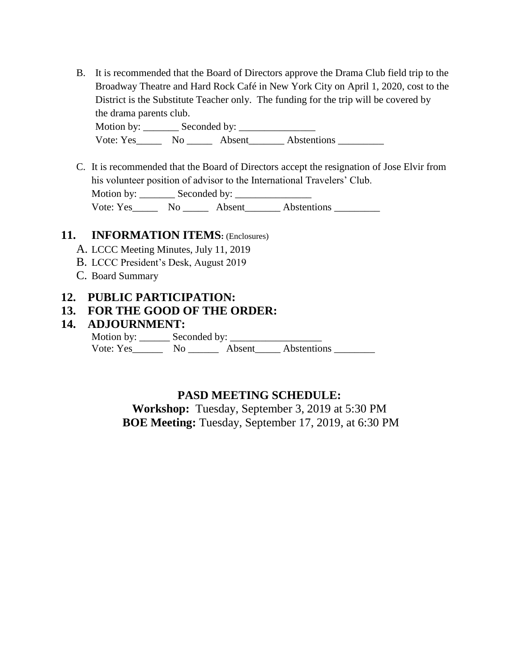B. It is recommended that the Board of Directors approve the Drama Club field trip to the Broadway Theatre and Hard Rock Café in New York City on April 1, 2020, cost to the District is the Substitute Teacher only. The funding for the trip will be covered by the drama parents club.

Motion by: \_\_\_\_\_\_\_ Seconded by: \_\_\_\_\_\_\_\_\_\_\_\_\_\_\_ Vote: Yes\_\_\_\_\_\_\_ No \_\_\_\_\_\_\_ Absent\_\_\_\_\_\_\_\_ Abstentions \_\_\_\_\_\_\_\_\_\_\_\_\_\_\_\_\_\_\_\_\_\_\_\_\_

C. It is recommended that the Board of Directors accept the resignation of Jose Elvir from his volunteer position of advisor to the International Travelers' Club. Motion by: \_\_\_\_\_\_\_ Seconded by: \_\_\_\_\_\_\_\_\_\_\_\_\_\_\_

Vote: Yes\_\_\_\_\_\_\_\_ No \_\_\_\_\_\_\_\_ Absent\_\_\_\_\_\_\_\_\_ Abstentions \_\_\_\_\_\_\_\_\_\_\_\_\_\_\_\_\_\_\_\_\_\_

#### **11. INFORMATION ITEMS:** (Enclosures)

- A. LCCC Meeting Minutes, July 11, 2019
- B. LCCC President's Desk, August 2019
- C. Board Summary

#### **12. PUBLIC PARTICIPATION:**

#### **13. FOR THE GOOD OF THE ORDER:**

#### **14. ADJOURNMENT:**

Motion by: \_\_\_\_\_\_ Seconded by: \_\_\_\_\_\_\_\_\_\_\_\_\_\_\_\_\_\_ Vote: Yes\_\_\_\_\_\_ No \_\_\_\_\_\_ Absent\_\_\_\_\_ Abstentions \_\_\_\_\_\_\_\_

### **PASD MEETING SCHEDULE:**

**Workshop:** Tuesday, September 3, 2019 at 5:30 PM **BOE Meeting:** Tuesday, September 17, 2019, at 6:30 PM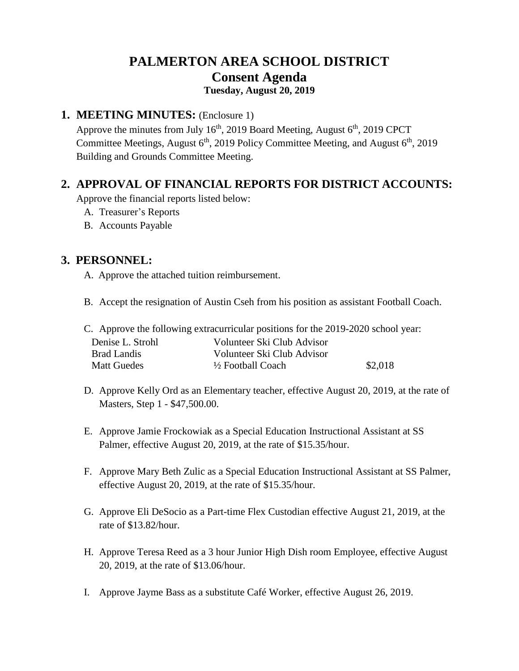# **PALMERTON AREA SCHOOL DISTRICT Consent Agenda Tuesday, August 20, 2019**

#### **1. MEETING MINUTES:** (Enclosure 1)

Approve the minutes from July  $16<sup>th</sup>$ , 2019 Board Meeting, August  $6<sup>th</sup>$ , 2019 CPCT Committee Meetings, August  $6<sup>th</sup>$ , 2019 Policy Committee Meeting, and August  $6<sup>th</sup>$ , 2019 Building and Grounds Committee Meeting.

### **2. APPROVAL OF FINANCIAL REPORTS FOR DISTRICT ACCOUNTS:**

Approve the financial reports listed below:

- A. Treasurer's Reports
- B. Accounts Payable

## **3. PERSONNEL:**

- A. Approve the attached tuition reimbursement.
- B. Accept the resignation of Austin Cseh from his position as assistant Football Coach.

|                    | C. Approve the following extracurricular positions for the 2019-2020 school year: |         |
|--------------------|-----------------------------------------------------------------------------------|---------|
| Denise L. Strohl   | Volunteer Ski Club Advisor                                                        |         |
| Brad Landis        | Volunteer Ski Club Advisor                                                        |         |
| <b>Matt Guedes</b> | $\frac{1}{2}$ Football Coach                                                      | \$2,018 |
|                    |                                                                                   |         |

- D. Approve Kelly Ord as an Elementary teacher, effective August 20, 2019, at the rate of Masters, Step 1 - \$47,500.00.
- E. Approve Jamie Frockowiak as a Special Education Instructional Assistant at SS Palmer, effective August 20, 2019, at the rate of \$15.35/hour.
- F. Approve Mary Beth Zulic as a Special Education Instructional Assistant at SS Palmer, effective August 20, 2019, at the rate of \$15.35/hour.
- G. Approve Eli DeSocio as a Part-time Flex Custodian effective August 21, 2019, at the rate of \$13.82/hour.
- H. Approve Teresa Reed as a 3 hour Junior High Dish room Employee, effective August 20, 2019, at the rate of \$13.06/hour.
- I. Approve Jayme Bass as a substitute Café Worker, effective August 26, 2019.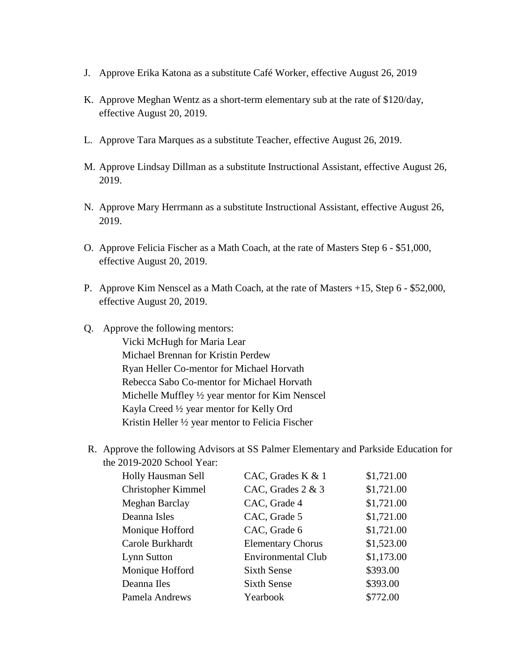- J. Approve Erika Katona as a substitute Café Worker, effective August 26, 2019
- K. Approve Meghan Wentz as a short-term elementary sub at the rate of \$120/day, effective August 20, 2019.
- L. Approve Tara Marques as a substitute Teacher, effective August 26, 2019.
- M. Approve Lindsay Dillman as a substitute Instructional Assistant, effective August 26, 2019.
- N. Approve Mary Herrmann as a substitute Instructional Assistant, effective August 26, 2019.
- O. Approve Felicia Fischer as a Math Coach, at the rate of Masters Step 6 \$51,000, effective August 20, 2019.
- P. Approve Kim Nenscel as a Math Coach, at the rate of Masters +15, Step 6 \$52,000, effective August 20, 2019.
- Q. Approve the following mentors: Vicki McHugh for Maria Lear Michael Brennan for Kristin Perdew Ryan Heller Co-mentor for Michael Horvath Rebecca Sabo Co-mentor for Michael Horvath Michelle Muffley ½ year mentor for Kim Nenscel Kayla Creed ½ year mentor for Kelly Ord Kristin Heller ½ year mentor to Felicia Fischer
- R. Approve the following Advisors at SS Palmer Elementary and Parkside Education for the 2019-2020 School Year:

| Holly Hausman Sell        | CAC, Grades K & 1         | \$1,721.00 |
|---------------------------|---------------------------|------------|
| <b>Christopher Kimmel</b> | CAC, Grades 2 & 3         | \$1,721.00 |
| Meghan Barclay            | CAC, Grade 4              | \$1,721.00 |
| Deanna Isles              | CAC, Grade 5              | \$1,721.00 |
| Monique Hofford           | CAC, Grade 6              | \$1,721.00 |
| Carole Burkhardt          | <b>Elementary Chorus</b>  | \$1,523.00 |
| Lynn Sutton               | <b>Environmental Club</b> | \$1,173.00 |
| Monique Hofford           | <b>Sixth Sense</b>        | \$393.00   |
| Deanna Iles               | <b>Sixth Sense</b>        | \$393.00   |
| Pamela Andrews            | Yearbook                  | \$772.00   |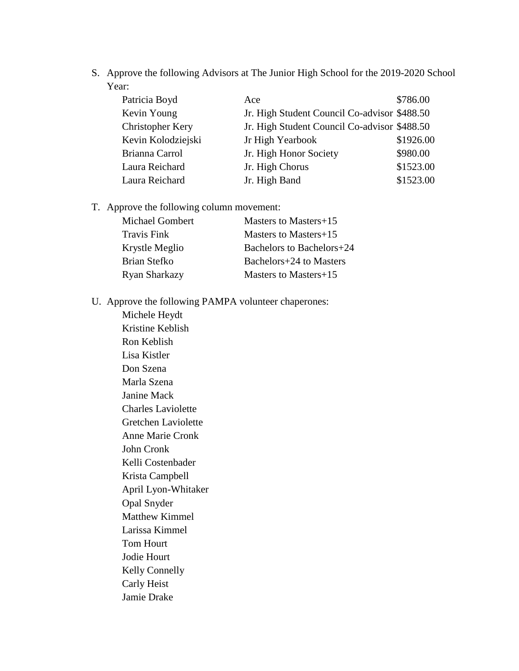S. Approve the following Advisors at The Junior High School for the 2019-2020 School Year:

| Patricia Boyd      | Ace                                          | \$786.00  |
|--------------------|----------------------------------------------|-----------|
| Kevin Young        | Jr. High Student Council Co-advisor \$488.50 |           |
| Christopher Kery   | Jr. High Student Council Co-advisor \$488.50 |           |
| Kevin Kolodziejski | Jr High Yearbook                             | \$1926.00 |
| Brianna Carrol     | Jr. High Honor Society                       | \$980.00  |
| Laura Reichard     | Jr. High Chorus                              | \$1523.00 |
| Laura Reichard     | Jr. High Band                                | \$1523.00 |

T. Approve the following column movement:

| Masters to Masters+15     |
|---------------------------|
| Masters to Masters+15     |
| Bachelors to Bachelors+24 |
| Bachelors+24 to Masters   |
| Masters to Masters+15     |
|                           |

U. Approve the following PAMPA volunteer chaperones:

Michele Heydt Kristine Keblish Ron Keblish Lisa Kistler Don Szena Marla Szena Janine Mack Charles Laviolette Gretchen Laviolette Anne Marie Cronk John Cronk Kelli Costenbader Krista Campbell April Lyon-Whitaker Opal Snyder Matthew Kimmel Larissa Kimmel Tom Hourt Jodie Hourt Kelly Connelly Carly Heist Jamie Drake